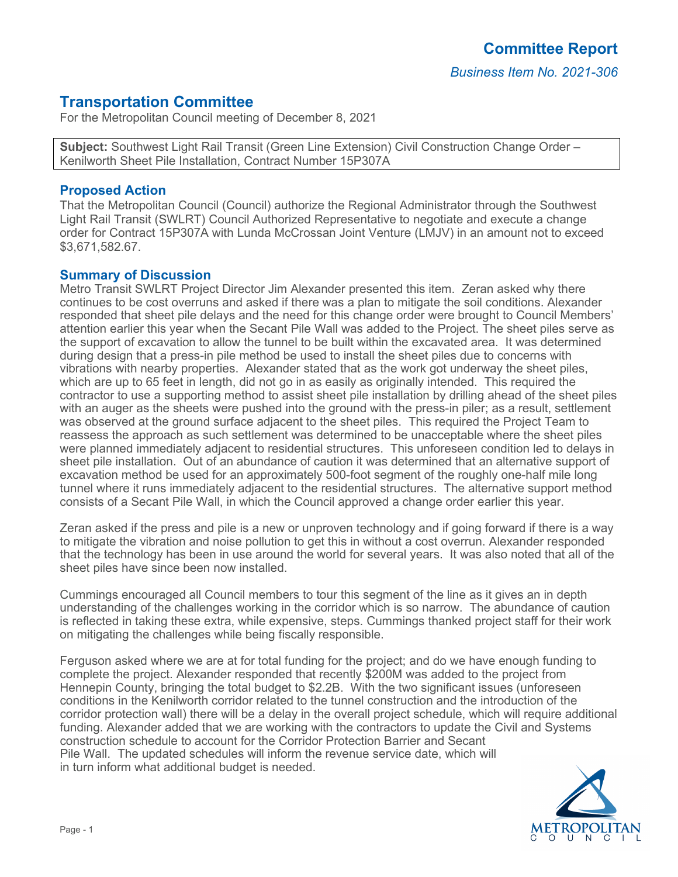*Business Item No. 2021-306*

# **Transportation Committee**

For the Metropolitan Council meeting of December 8, 2021

**Subject:** Southwest Light Rail Transit (Green Line Extension) Civil Construction Change Order – Kenilworth Sheet Pile Installation, Contract Number 15P307A

## **Proposed Action**

That the Metropolitan Council (Council) authorize the Regional Administrator through the Southwest Light Rail Transit (SWLRT) Council Authorized Representative to negotiate and execute a change order for Contract 15P307A with Lunda McCrossan Joint Venture (LMJV) in an amount not to exceed \$3,671,582.67.

### **Summary of Discussion**

Metro Transit SWLRT Project Director Jim Alexander presented this item. Zeran asked why there continues to be cost overruns and asked if there was a plan to mitigate the soil conditions. Alexander responded that sheet pile delays and the need for this change order were brought to Council Members' attention earlier this year when the Secant Pile Wall was added to the Project. The sheet piles serve as the support of excavation to allow the tunnel to be built within the excavated area. It was determined during design that a press-in pile method be used to install the sheet piles due to concerns with vibrations with nearby properties. Alexander stated that as the work got underway the sheet piles, which are up to 65 feet in length, did not go in as easily as originally intended. This required the contractor to use a supporting method to assist sheet pile installation by drilling ahead of the sheet piles with an auger as the sheets were pushed into the ground with the press-in piler; as a result, settlement was observed at the ground surface adjacent to the sheet piles. This required the Project Team to reassess the approach as such settlement was determined to be unacceptable where the sheet piles were planned immediately adjacent to residential structures. This unforeseen condition led to delays in sheet pile installation. Out of an abundance of caution it was determined that an alternative support of excavation method be used for an approximately 500-foot segment of the roughly one-half mile long tunnel where it runs immediately adjacent to the residential structures. The alternative support method consists of a Secant Pile Wall, in which the Council approved a change order earlier this year.

Zeran asked if the press and pile is a new or unproven technology and if going forward if there is a way to mitigate the vibration and noise pollution to get this in without a cost overrun. Alexander responded that the technology has been in use around the world for several years. It was also noted that all of the sheet piles have since been now installed.

Cummings encouraged all Council members to tour this segment of the line as it gives an in depth understanding of the challenges working in the corridor which is so narrow. The abundance of caution is reflected in taking these extra, while expensive, steps. Cummings thanked project staff for their work on mitigating the challenges while being fiscally responsible.

Ferguson asked where we are at for total funding for the project; and do we have enough funding to complete the project. Alexander responded that recently \$200M was added to the project from Hennepin County, bringing the total budget to \$2.2B. With the two significant issues (unforeseen conditions in the Kenilworth corridor related to the tunnel construction and the introduction of the corridor protection wall) there will be a delay in the overall project schedule, which will require additional funding. Alexander added that we are working with the contractors to update the Civil and Systems construction schedule to account for the Corridor Protection Barrier and Secant Pile Wall. The updated schedules will inform the revenue service date, which will in turn inform what additional budget is needed.

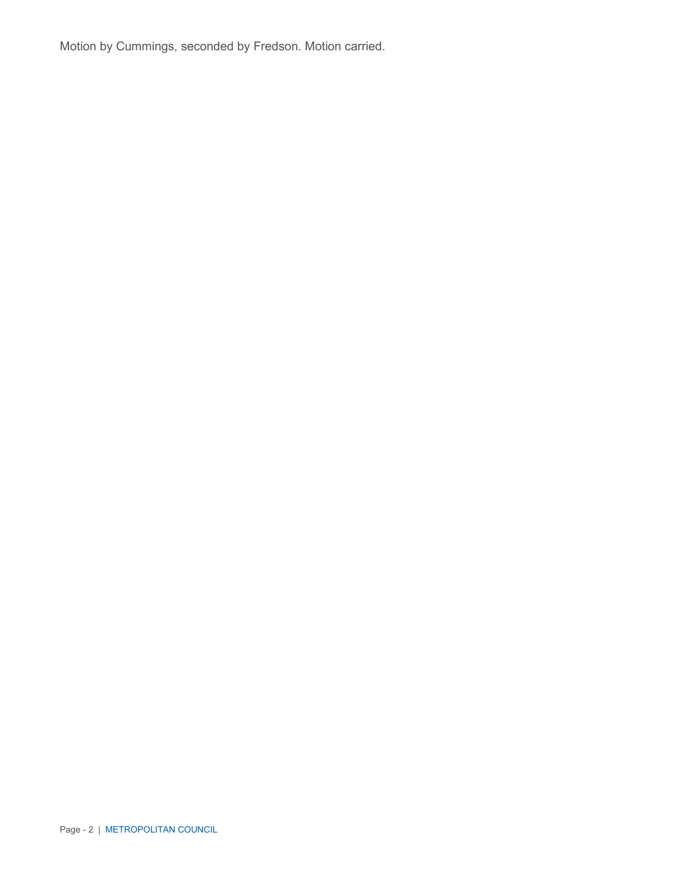Motion by Cummings, seconded by Fredson. Motion carried.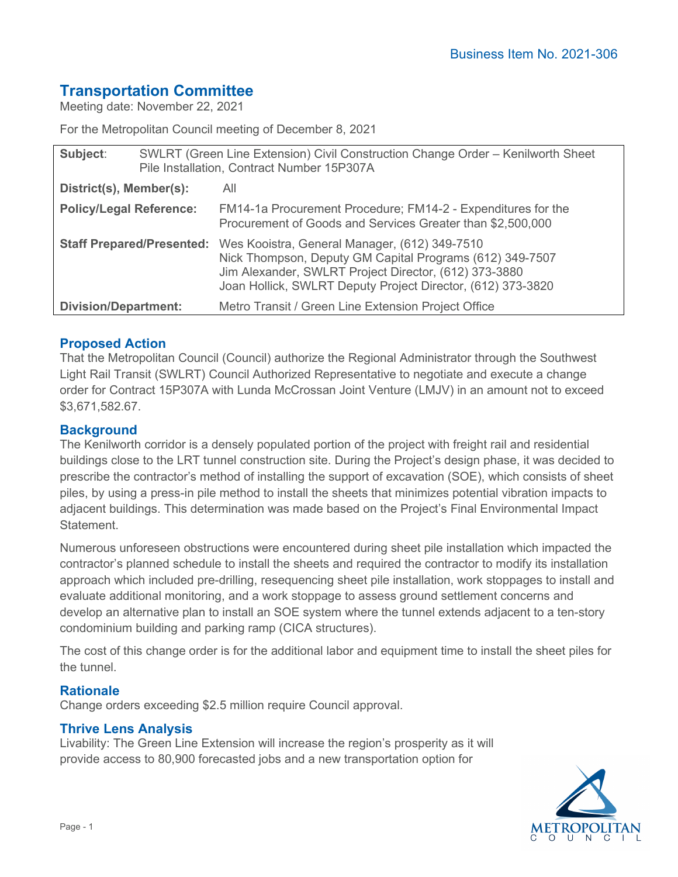# **Transportation Committee**

Meeting date: November 22, 2021

For the Metropolitan Council meeting of December 8, 2021

| Subject:                       | SWLRT (Green Line Extension) Civil Construction Change Order - Kenilworth Sheet<br>Pile Installation, Contract Number 15P307A |                                                                                                                                                                                                                                   |
|--------------------------------|-------------------------------------------------------------------------------------------------------------------------------|-----------------------------------------------------------------------------------------------------------------------------------------------------------------------------------------------------------------------------------|
| District(s), Member(s):        |                                                                                                                               | All                                                                                                                                                                                                                               |
| <b>Policy/Legal Reference:</b> |                                                                                                                               | FM14-1a Procurement Procedure; FM14-2 - Expenditures for the<br>Procurement of Goods and Services Greater than \$2,500,000                                                                                                        |
|                                | <b>Staff Prepared/Presented:</b>                                                                                              | Wes Kooistra, General Manager, (612) 349-7510<br>Nick Thompson, Deputy GM Capital Programs (612) 349-7507<br>Jim Alexander, SWLRT Project Director, (612) 373-3880<br>Joan Hollick, SWLRT Deputy Project Director, (612) 373-3820 |
| <b>Division/Department:</b>    |                                                                                                                               | Metro Transit / Green Line Extension Project Office                                                                                                                                                                               |

## **Proposed Action**

That the Metropolitan Council (Council) authorize the Regional Administrator through the Southwest Light Rail Transit (SWLRT) Council Authorized Representative to negotiate and execute a change order for Contract 15P307A with Lunda McCrossan Joint Venture (LMJV) in an amount not to exceed \$3,671,582.67.

## **Background**

The Kenilworth corridor is a densely populated portion of the project with freight rail and residential buildings close to the LRT tunnel construction site. During the Project's design phase, it was decided to prescribe the contractor's method of installing the support of excavation (SOE), which consists of sheet piles, by using a press-in pile method to install the sheets that minimizes potential vibration impacts to adjacent buildings. This determination was made based on the Project's Final Environmental Impact Statement.

Numerous unforeseen obstructions were encountered during sheet pile installation which impacted the contractor's planned schedule to install the sheets and required the contractor to modify its installation approach which included pre-drilling, resequencing sheet pile installation, work stoppages to install and evaluate additional monitoring, and a work stoppage to assess ground settlement concerns and develop an alternative plan to install an SOE system where the tunnel extends adjacent to a ten-story condominium building and parking ramp (CICA structures).

The cost of this change order is for the additional labor and equipment time to install the sheet piles for the tunnel.

## **Rationale**

Change orders exceeding \$2.5 million require Council approval.

### **Thrive Lens Analysis**

Livability: The Green Line Extension will increase the region's prosperity as it will provide access to 80,900 forecasted jobs and a new transportation option for